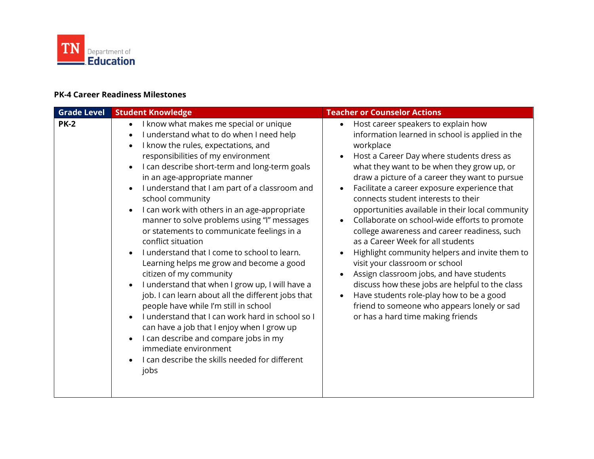

## **PK-4 Career Readiness Milestones**

| <b>Grade Level</b> | <b>Student Knowledge</b>                                                                                                                                                                                                                                                                                                                                                                                                                                                                                                                                                                                                                                                                                                                                                                                                                                                                                                                                                                                                   | <b>Teacher or Counselor Actions</b>                                                                                                                                                                                                                                                                                                                                                                                                                                                                                                                                                                                                                                                                                                                                                                                                                                                                      |
|--------------------|----------------------------------------------------------------------------------------------------------------------------------------------------------------------------------------------------------------------------------------------------------------------------------------------------------------------------------------------------------------------------------------------------------------------------------------------------------------------------------------------------------------------------------------------------------------------------------------------------------------------------------------------------------------------------------------------------------------------------------------------------------------------------------------------------------------------------------------------------------------------------------------------------------------------------------------------------------------------------------------------------------------------------|----------------------------------------------------------------------------------------------------------------------------------------------------------------------------------------------------------------------------------------------------------------------------------------------------------------------------------------------------------------------------------------------------------------------------------------------------------------------------------------------------------------------------------------------------------------------------------------------------------------------------------------------------------------------------------------------------------------------------------------------------------------------------------------------------------------------------------------------------------------------------------------------------------|
| <b>PK-2</b>        | I know what makes me special or unique<br>$\bullet$<br>I understand what to do when I need help<br>I know the rules, expectations, and<br>responsibilities of my environment<br>I can describe short-term and long-term goals<br>$\bullet$<br>in an age-appropriate manner<br>I understand that I am part of a classroom and<br>school community<br>I can work with others in an age-appropriate<br>manner to solve problems using "I" messages<br>or statements to communicate feelings in a<br>conflict situation<br>I understand that I come to school to learn.<br>Learning helps me grow and become a good<br>citizen of my community<br>I understand that when I grow up, I will have a<br>job. I can learn about all the different jobs that<br>people have while I'm still in school<br>I understand that I can work hard in school so I<br>can have a job that I enjoy when I grow up<br>I can describe and compare jobs in my<br>immediate environment<br>I can describe the skills needed for different<br>jobs | Host career speakers to explain how<br>$\bullet$<br>information learned in school is applied in the<br>workplace<br>Host a Career Day where students dress as<br>$\bullet$<br>what they want to be when they grow up, or<br>draw a picture of a career they want to pursue<br>Facilitate a career exposure experience that<br>connects student interests to their<br>opportunities available in their local community<br>Collaborate on school-wide efforts to promote<br>$\bullet$<br>college awareness and career readiness, such<br>as a Career Week for all students<br>Highlight community helpers and invite them to<br>visit your classroom or school<br>Assign classroom jobs, and have students<br>discuss how these jobs are helpful to the class<br>Have students role-play how to be a good<br>$\bullet$<br>friend to someone who appears lonely or sad<br>or has a hard time making friends |